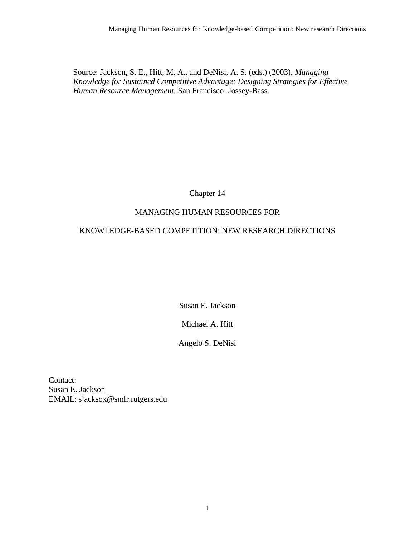Source: Jackson, S. E., Hitt, M. A., and DeNisi, A. S. (eds.) (2003). *Managing Knowledge for Sustained Competitive Advantage: Designing Strategies for Effective Human Resource Management.* San Francisco: Jossey-Bass.

Chapter 14

# MANAGING HUMAN RESOURCES FOR

## KNOWLEDGE-BASED COMPETITION: NEW RESEARCH DIRECTIONS

Susan E. Jackson

Michael A. Hitt

Angelo S. DeNisi

Contact: Susan E. Jackson EMAIL: sjacksox@smlr.rutgers.edu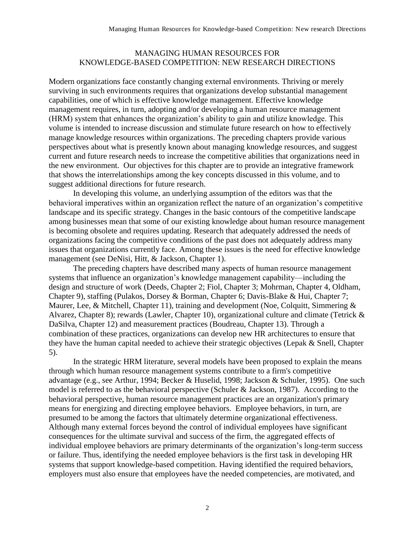## MANAGING HUMAN RESOURCES FOR KNOWLEDGE-BASED COMPETITION: NEW RESEARCH DIRECTIONS

Modern organizations face constantly changing external environments. Thriving or merely surviving in such environments requires that organizations develop substantial management capabilities, one of which is effective knowledge management. Effective knowledge management requires, in turn, adopting and/or developing a human resource management (HRM) system that enhances the organization's ability to gain and utilize knowledge. This volume is intended to increase discussion and stimulate future research on how to effectively manage knowledge resources within organizations. The preceding chapters provide various perspectives about what is presently known about managing knowledge resources, and suggest current and future research needs to increase the competitive abilities that organizations need in the new environment. Our objectives for this chapter are to provide an integrative framework that shows the interrelationships among the key concepts discussed in this volume, and to suggest additional directions for future research.

In developing this volume, an underlying assumption of the editors was that the behavioral imperatives within an organization reflect the nature of an organization's competitive landscape and its specific strategy. Changes in the basic contours of the competitive landscape among businesses mean that some of our existing knowledge about human resource management is becoming obsolete and requires updating. Research that adequately addressed the needs of organizations facing the competitive conditions of the past does not adequately address many issues that organizations currently face. Among these issues is the need for effective knowledge management (see DeNisi, Hitt, & Jackson, Chapter 1).

The preceding chapters have described many aspects of human resource management systems that influence an organization's knowledge management capability—including the design and structure of work (Deeds, Chapter 2; Fiol, Chapter 3; Mohrman, Chapter 4, Oldham, Chapter 9), staffing (Pulakos, Dorsey & Borman, Chapter 6; Davis-Blake & Hui, Chapter 7; Maurer, Lee, & Mitchell, Chapter 11), training and development (Noe, Colquitt, Simmering & Alvarez, Chapter 8); rewards (Lawler, Chapter 10), organizational culture and climate (Tetrick & DaSilva, Chapter 12) and measurement practices (Boudreau, Chapter 13). Through a combination of these practices, organizations can develop new HR architectures to ensure that they have the human capital needed to achieve their strategic objectives (Lepak & Snell, Chapter 5).

In the strategic HRM literature, several models have been proposed to explain the means through which human resource management systems contribute to a firm's competitive advantage (e.g., see Arthur, 1994; Becker & Huselid, 1998; Jackson & Schuler, 1995). One such model is referred to as the behavioral perspective (Schuler & Jackson, 1987). According to the behavioral perspective, human resource management practices are an organization's primary means for energizing and directing employee behaviors. Employee behaviors, in turn, are presumed to be among the factors that ultimately determine organizational effectiveness. Although many external forces beyond the control of individual employees have significant consequences for the ultimate survival and success of the firm, the aggregated effects of individual employee behaviors are primary determinants of the organization's long-term success or failure. Thus, identifying the needed employee behaviors is the first task in developing HR systems that support knowledge-based competition. Having identified the required behaviors, employers must also ensure that employees have the needed competencies, are motivated, and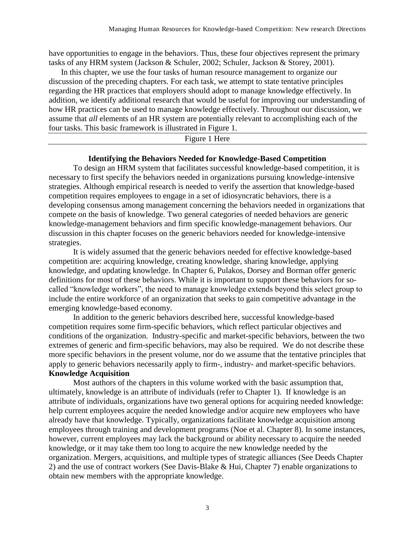have opportunities to engage in the behaviors. Thus, these four objectives represent the primary tasks of any HRM system (Jackson & Schuler, 2002; Schuler, Jackson & Storey, 2001).

In this chapter, we use the four tasks of human resource management to organize our discussion of the preceding chapters. For each task, we attempt to state tentative principles regarding the HR practices that employers should adopt to manage knowledge effectively. In addition, we identify additional research that would be useful for improving our understanding of how HR practices can be used to manage knowledge effectively. Throughout our discussion, we assume that *all* elements of an HR system are potentially relevant to accomplishing each of the four tasks. This basic framework is illustrated in Figure 1.

## Figure 1 Here

#### **Identifying the Behaviors Needed for Knowledge-Based Competition**

To design an HRM system that facilitates successful knowledge-based competition, it is necessary to first specify the behaviors needed in organizations pursuing knowledge-intensive strategies. Although empirical research is needed to verify the assertion that knowledge-based competition requires employees to engage in a set of idiosyncratic behaviors, there is a developing consensus among management concerning the behaviors needed in organizations that compete on the basis of knowledge. Two general categories of needed behaviors are generic knowledge-management behaviors and firm specific knowledge-management behaviors. Our discussion in this chapter focuses on the generic behaviors needed for knowledge-intensive strategies.

It is widely assumed that the generic behaviors needed for effective knowledge-based competition are: acquiring knowledge, creating knowledge, sharing knowledge, applying knowledge, and updating knowledge. In Chapter 6, Pulakos, Dorsey and Borman offer generic definitions for most of these behaviors. While it is important to support these behaviors for socalled "knowledge workers", the need to manage knowledge extends beyond this select group to include the entire workforce of an organization that seeks to gain competitive advantage in the emerging knowledge-based economy.

In addition to the generic behaviors described here, successful knowledge-based competition requires some firm-specific behaviors, which reflect particular objectives and conditions of the organization. Industry-specific and market-specific behaviors, between the two extremes of generic and firm-specific behaviors, may also be required. We do not describe these more specific behaviors in the present volume, nor do we assume that the tentative principles that apply to generic behaviors necessarily apply to firm-, industry- and market-specific behaviors.

## **Knowledge Acquisition**

Most authors of the chapters in this volume worked with the basic assumption that, ultimately, knowledge is an attribute of individuals (refer to Chapter 1). If knowledge is an attribute of individuals, organizations have two general options for acquiring needed knowledge: help current employees acquire the needed knowledge and/or acquire new employees who have already have that knowledge. Typically, organizations facilitate knowledge acquisition among employees through training and development programs (Noe et al. Chapter 8). In some instances, however, current employees may lack the background or ability necessary to acquire the needed knowledge, or it may take them too long to acquire the new knowledge needed by the organization. Mergers, acquisitions, and multiple types of strategic alliances (See Deeds Chapter 2) and the use of contract workers (See Davis-Blake & Hui, Chapter 7) enable organizations to obtain new members with the appropriate knowledge.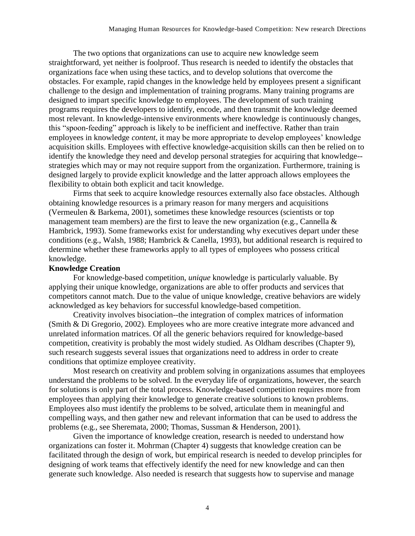The two options that organizations can use to acquire new knowledge seem straightforward, yet neither is foolproof. Thus research is needed to identify the obstacles that organizations face when using these tactics, and to develop solutions that overcome the obstacles. For example, rapid changes in the knowledge held by employees present a significant challenge to the design and implementation of training programs. Many training programs are designed to impart specific knowledge to employees. The development of such training programs requires the developers to identify, encode, and then transmit the knowledge deemed most relevant. In knowledge-intensive environments where knowledge is continuously changes, this "spoon-feeding" approach is likely to be inefficient and ineffective. Rather than train employees in knowledge *content*, it may be more appropriate to develop employees' knowledge acquisition skills. Employees with effective knowledge-acquisition skills can then be relied on to identify the knowledge they need and develop personal strategies for acquiring that knowledge- strategies which may or may not require support from the organization. Furthermore, training is designed largely to provide explicit knowledge and the latter approach allows employees the flexibility to obtain both explicit and tacit knowledge.

Firms that seek to acquire knowledge resources externally also face obstacles. Although obtaining knowledge resources is a primary reason for many mergers and acquisitions (Vermeulen & Barkema, 2001), sometimes these knowledge resources (scientists or top management team members) are the first to leave the new organization (e.g., Cannella & Hambrick, 1993). Some frameworks exist for understanding why executives depart under these conditions (e.g., Walsh, 1988; Hambrick & Canella, 1993), but additional research is required to determine whether these frameworks apply to all types of employees who possess critical knowledge.

#### **Knowledge Creation**

For knowledge-based competition, *unique* knowledge is particularly valuable. By applying their unique knowledge, organizations are able to offer products and services that competitors cannot match. Due to the value of unique knowledge, creative behaviors are widely acknowledged as key behaviors for successful knowledge-based competition.

Creativity involves bisociation--the integration of complex matrices of information (Smith & Di Gregorio, 2002). Employees who are more creative integrate more advanced and unrelated information matrices. Of all the generic behaviors required for knowledge-based competition, creativity is probably the most widely studied. As Oldham describes (Chapter 9), such research suggests several issues that organizations need to address in order to create conditions that optimize employee creativity.

Most research on creativity and problem solving in organizations assumes that employees understand the problems to be solved. In the everyday life of organizations, however, the search for solutions is only part of the total process. Knowledge-based competition requires more from employees than applying their knowledge to generate creative solutions to known problems. Employees also must identify the problems to be solved, articulate them in meaningful and compelling ways, and then gather new and relevant information that can be used to address the problems (e.g., see Sheremata, 2000; Thomas, Sussman & Henderson, 2001).

Given the importance of knowledge creation, research is needed to understand how organizations can foster it. Mohrman (Chapter 4) suggests that knowledge creation can be facilitated through the design of work, but empirical research is needed to develop principles for designing of work teams that effectively identify the need for new knowledge and can then generate such knowledge. Also needed is research that suggests how to supervise and manage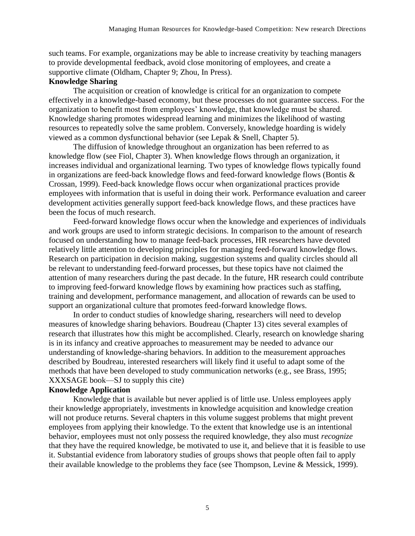such teams. For example, organizations may be able to increase creativity by teaching managers to provide developmental feedback, avoid close monitoring of employees, and create a supportive climate (Oldham, Chapter 9; Zhou, In Press).

## **Knowledge Sharing**

The acquisition or creation of knowledge is critical for an organization to compete effectively in a knowledge-based economy, but these processes do not guarantee success. For the organization to benefit most from employees' knowledge, that knowledge must be shared. Knowledge sharing promotes widespread learning and minimizes the likelihood of wasting resources to repeatedly solve the same problem. Conversely, knowledge hoarding is widely viewed as a common dysfunctional behavior (see Lepak & Snell, Chapter 5).

The diffusion of knowledge throughout an organization has been referred to as knowledge flow (see Fiol, Chapter 3). When knowledge flows through an organization, it increases individual and organizational learning. Two types of knowledge flows typically found in organizations are feed-back knowledge flows and feed-forward knowledge flows (Bontis & Crossan, 1999). Feed-back knowledge flows occur when organizational practices provide employees with information that is useful in doing their work. Performance evaluation and career development activities generally support feed-back knowledge flows, and these practices have been the focus of much research.

Feed-forward knowledge flows occur when the knowledge and experiences of individuals and work groups are used to inform strategic decisions. In comparison to the amount of research focused on understanding how to manage feed-back processes, HR researchers have devoted relatively little attention to developing principles for managing feed-forward knowledge flows. Research on participation in decision making, suggestion systems and quality circles should all be relevant to understanding feed-forward processes, but these topics have not claimed the attention of many researchers during the past decade. In the future, HR research could contribute to improving feed-forward knowledge flows by examining how practices such as staffing, training and development, performance management, and allocation of rewards can be used to support an organizational culture that promotes feed-forward knowledge flows.

In order to conduct studies of knowledge sharing, researchers will need to develop measures of knowledge sharing behaviors. Boudreau (Chapter 13) cites several examples of research that illustrates how this might be accomplished. Clearly, research on knowledge sharing is in its infancy and creative approaches to measurement may be needed to advance our understanding of knowledge-sharing behaviors. In addition to the measurement approaches described by Boudreau, interested researchers will likely find it useful to adapt some of the methods that have been developed to study communication networks (e.g., see Brass, 1995; XXXSAGE book—SJ to supply this cite)

#### **Knowledge Application**

Knowledge that is available but never applied is of little use. Unless employees apply their knowledge appropriately, investments in knowledge acquisition and knowledge creation will not produce returns. Several chapters in this volume suggest problems that might prevent employees from applying their knowledge. To the extent that knowledge use is an intentional behavior, employees must not only possess the required knowledge, they also must *recognize* that they have the required knowledge, be motivated to use it, and believe that it is feasible to use it. Substantial evidence from laboratory studies of groups shows that people often fail to apply their available knowledge to the problems they face (see Thompson, Levine & Messick, 1999).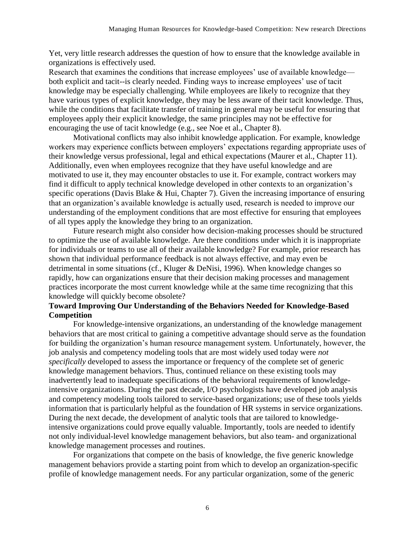Yet, very little research addresses the question of how to ensure that the knowledge available in organizations is effectively used.

Research that examines the conditions that increase employees' use of available knowledge both explicit and tacit--is clearly needed. Finding ways to increase employees' use of tacit knowledge may be especially challenging. While employees are likely to recognize that they have various types of explicit knowledge, they may be less aware of their tacit knowledge. Thus, while the conditions that facilitate transfer of training in general may be useful for ensuring that employees apply their explicit knowledge, the same principles may not be effective for encouraging the use of tacit knowledge (e.g., see Noe et al., Chapter 8).

Motivational conflicts may also inhibit knowledge application. For example, knowledge workers may experience conflicts between employers' expectations regarding appropriate uses of their knowledge versus professional, legal and ethical expectations (Maurer et al., Chapter 11). Additionally, even when employees recognize that they have useful knowledge and are motivated to use it, they may encounter obstacles to use it. For example, contract workers may find it difficult to apply technical knowledge developed in other contexts to an organization's specific operations (Davis Blake & Hui, Chapter 7). Given the increasing importance of ensuring that an organization's available knowledge is actually used, research is needed to improve our understanding of the employment conditions that are most effective for ensuring that employees of all types apply the knowledge they bring to an organization.

Future research might also consider how decision-making processes should be structured to optimize the use of available knowledge. Are there conditions under which it is inappropriate for individuals or teams to use all of their available knowledge? For example, prior research has shown that individual performance feedback is not always effective, and may even be detrimental in some situations (cf., Kluger & DeNisi, 1996). When knowledge changes so rapidly, how can organizations ensure that their decision making processes and management practices incorporate the most current knowledge while at the same time recognizing that this knowledge will quickly become obsolete?

# **Toward Improving Our Understanding of the Behaviors Needed for Knowledge-Based Competition**

For knowledge-intensive organizations, an understanding of the knowledge management behaviors that are most critical to gaining a competitive advantage should serve as the foundation for building the organization's human resource management system. Unfortunately, however, the job analysis and competency modeling tools that are most widely used today were *not specifically* developed to assess the importance or frequency of the complete set of generic knowledge management behaviors. Thus, continued reliance on these existing tools may inadvertently lead to inadequate specifications of the behavioral requirements of knowledgeintensive organizations. During the past decade, I/O psychologists have developed job analysis and competency modeling tools tailored to service-based organizations; use of these tools yields information that is particularly helpful as the foundation of HR systems in service organizations. During the next decade, the development of analytic tools that are tailored to knowledgeintensive organizations could prove equally valuable. Importantly, tools are needed to identify not only individual-level knowledge management behaviors, but also team- and organizational knowledge management processes and routines.

For organizations that compete on the basis of knowledge, the five generic knowledge management behaviors provide a starting point from which to develop an organization-specific profile of knowledge management needs. For any particular organization, some of the generic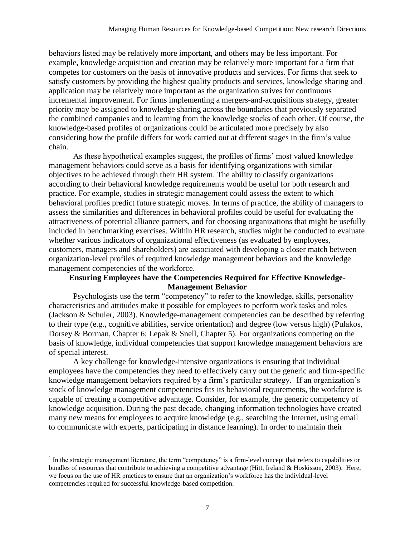behaviors listed may be relatively more important, and others may be less important. For example, knowledge acquisition and creation may be relatively more important for a firm that competes for customers on the basis of innovative products and services. For firms that seek to satisfy customers by providing the highest quality products and services, knowledge sharing and application may be relatively more important as the organization strives for continuous incremental improvement. For firms implementing a mergers-and-acquisitions strategy, greater priority may be assigned to knowledge sharing across the boundaries that previously separated the combined companies and to learning from the knowledge stocks of each other. Of course, the knowledge-based profiles of organizations could be articulated more precisely by also considering how the profile differs for work carried out at different stages in the firm's value chain.

As these hypothetical examples suggest, the profiles of firms' most valued knowledge management behaviors could serve as a basis for identifying organizations with similar objectives to be achieved through their HR system. The ability to classify organizations according to their behavioral knowledge requirements would be useful for both research and practice. For example, studies in strategic management could assess the extent to which behavioral profiles predict future strategic moves. In terms of practice, the ability of managers to assess the similarities and differences in behavioral profiles could be useful for evaluating the attractiveness of potential alliance partners, and for choosing organizations that might be usefully included in benchmarking exercises. Within HR research, studies might be conducted to evaluate whether various indicators of organizational effectiveness (as evaluated by employees, customers, managers and shareholders) are associated with developing a closer match between organization-level profiles of required knowledge management behaviors and the knowledge management competencies of the workforce.

## **Ensuring Employees have the Competencies Required for Effective Knowledge-Management Behavior**

Psychologists use the term "competency" to refer to the knowledge, skills, personality characteristics and attitudes make it possible for employees to perform work tasks and roles (Jackson & Schuler, 2003). Knowledge-management competencies can be described by referring to their type (e.g., cognitive abilities, service orientation) and degree (low versus high) (Pulakos, Dorsey & Borman, Chapter 6; Lepak & Snell, Chapter 5). For organizations competing on the basis of knowledge, individual competencies that support knowledge management behaviors are of special interest.

A key challenge for knowledge-intensive organizations is ensuring that individual employees have the competencies they need to effectively carry out the generic and firm-specific knowledge management behaviors required by a firm's particular strategy.<sup>1</sup> If an organization's stock of knowledge management competencies fits its behavioral requirements, the workforce is capable of creating a competitive advantage. Consider, for example, the generic competency of knowledge acquisition. During the past decade, changing information technologies have created many new means for employees to acquire knowledge (e.g., searching the Internet, using email to communicate with experts, participating in distance learning). In order to maintain their

 $\overline{a}$ 

 $<sup>1</sup>$  In the strategic management literature, the term "competency" is a firm-level concept that refers to capabilities or</sup> bundles of resources that contribute to achieving a competitive advantage (Hitt, Ireland & Hoskisson, 2003). Here, we focus on the use of HR practices to ensure that an organization's workforce has the individual-level competencies required for successful knowledge-based competition.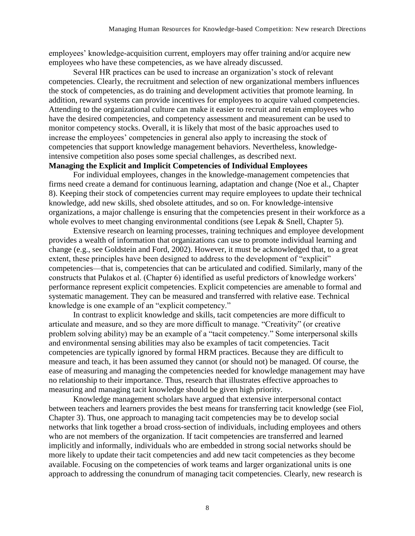employees' knowledge-acquisition current, employers may offer training and/or acquire new employees who have these competencies, as we have already discussed.

Several HR practices can be used to increase an organization's stock of relevant competencies. Clearly, the recruitment and selection of new organizational members influences the stock of competencies, as do training and development activities that promote learning. In addition, reward systems can provide incentives for employees to acquire valued competencies. Attending to the organizational culture can make it easier to recruit and retain employees who have the desired competencies, and competency assessment and measurement can be used to monitor competency stocks. Overall, it is likely that most of the basic approaches used to increase the employees' competencies in general also apply to increasing the stock of competencies that support knowledge management behaviors. Nevertheless, knowledgeintensive competition also poses some special challenges, as described next.

# **Managing the Explicit and Implicit Competencies of Individual Employees**

For individual employees, changes in the knowledge-management competencies that firms need create a demand for continuous learning, adaptation and change (Noe et al., Chapter 8). Keeping their stock of competencies current may require employees to update their technical knowledge, add new skills, shed obsolete attitudes, and so on. For knowledge-intensive organizations, a major challenge is ensuring that the competencies present in their workforce as a whole evolves to meet changing environmental conditions (see Lepak & Snell, Chapter 5).

Extensive research on learning processes, training techniques and employee development provides a wealth of information that organizations can use to promote individual learning and change (e.g., see Goldstein and Ford, 2002). However, it must be acknowledged that, to a great extent, these principles have been designed to address to the development of "explicit" competencies—that is, competencies that can be articulated and codified. Similarly, many of the constructs that Pulakos et al. (Chapter 6) identified as useful predictors of knowledge workers' performance represent explicit competencies. Explicit competencies are amenable to formal and systematic management. They can be measured and transferred with relative ease. Technical knowledge is one example of an "explicit competency."

In contrast to explicit knowledge and skills, tacit competencies are more difficult to articulate and measure, and so they are more difficult to manage. "Creativity" (or creative problem solving ability) may be an example of a "tacit competency." Some interpersonal skills and environmental sensing abilities may also be examples of tacit competencies. Tacit competencies are typically ignored by formal HRM practices. Because they are difficult to measure and teach, it has been assumed they cannot (or should not) be managed. Of course, the ease of measuring and managing the competencies needed for knowledge management may have no relationship to their importance. Thus, research that illustrates effective approaches to measuring and managing tacit knowledge should be given high priority.

Knowledge management scholars have argued that extensive interpersonal contact between teachers and learners provides the best means for transferring tacit knowledge (see Fiol, Chapter 3). Thus, one approach to managing tacit competencies may be to develop social networks that link together a broad cross-section of individuals, including employees and others who are not members of the organization. If tacit competencies are transferred and learned implicitly and informally, individuals who are embedded in strong social networks should be more likely to update their tacit competencies and add new tacit competencies as they become available. Focusing on the competencies of work teams and larger organizational units is one approach to addressing the conundrum of managing tacit competencies. Clearly, new research is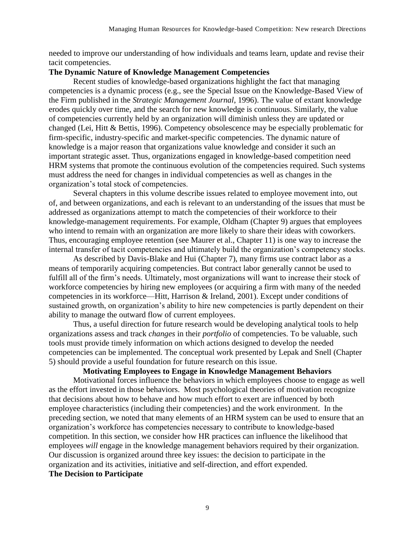needed to improve our understanding of how individuals and teams learn, update and revise their tacit competencies.

## **The Dynamic Nature of Knowledge Management Competencies**

Recent studies of knowledge-based organizations highlight the fact that managing competencies is a dynamic process (e.g., see the Special Issue on the Knowledge-Based View of the Firm published in the *Strategic Management Journal*, 1996). The value of extant knowledge erodes quickly over time, and the search for new knowledge is continuous. Similarly, the value of competencies currently held by an organization will diminish unless they are updated or changed (Lei, Hitt & Bettis, 1996). Competency obsolescence may be especially problematic for firm-specific, industry-specific and market-specific competencies. The dynamic nature of knowledge is a major reason that organizations value knowledge and consider it such an important strategic asset. Thus, organizations engaged in knowledge-based competition need HRM systems that promote the continuous evolution of the competencies required. Such systems must address the need for changes in individual competencies as well as changes in the organization's total stock of competencies.

Several chapters in this volume describe issues related to employee movement into, out of, and between organizations, and each is relevant to an understanding of the issues that must be addressed as organizations attempt to match the competencies of their workforce to their knowledge-management requirements. For example, Oldham (Chapter 9) argues that employees who intend to remain with an organization are more likely to share their ideas with coworkers. Thus, encouraging employee retention (see Maurer et al., Chapter 11) is one way to increase the internal transfer of tacit competencies and ultimately build the organization's competency stocks.

As described by Davis-Blake and Hui (Chapter 7), many firms use contract labor as a means of temporarily acquiring competencies. But contract labor generally cannot be used to fulfill all of the firm's needs. Ultimately, most organizations will want to increase their stock of workforce competencies by hiring new employees (or acquiring a firm with many of the needed competencies in its workforce—Hitt, Harrison & Ireland, 2001). Except under conditions of sustained growth, on organization's ability to hire new competencies is partly dependent on their ability to manage the outward flow of current employees.

Thus, a useful direction for future research would be developing analytical tools to help organizations assess and track *changes* in their *portfolio* of competencies. To be valuable, such tools must provide timely information on which actions designed to develop the needed competencies can be implemented. The conceptual work presented by Lepak and Snell (Chapter 5) should provide a useful foundation for future research on this issue.

## **Motivating Employees to Engage in Knowledge Management Behaviors**

Motivational forces influence the behaviors in which employees choose to engage as well as the effort invested in those behaviors. Most psychological theories of motivation recognize that decisions about how to behave and how much effort to exert are influenced by both employee characteristics (including their competencies) and the work environment. In the preceding section, we noted that many elements of an HRM system can be used to ensure that an organization's workforce has competencies necessary to contribute to knowledge-based competition. In this section, we consider how HR practices can influence the likelihood that employees *will* engage in the knowledge management behaviors required by their organization. Our discussion is organized around three key issues: the decision to participate in the organization and its activities, initiative and self-direction, and effort expended.

#### **The Decision to Participate**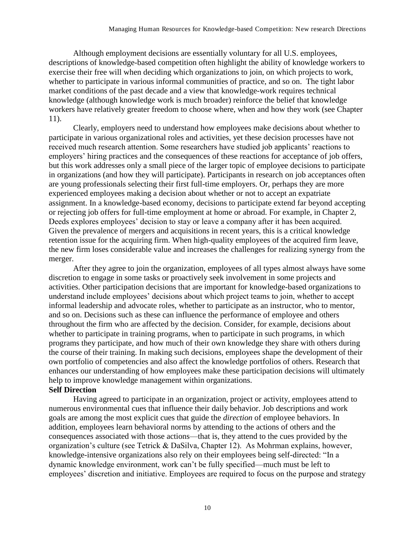Although employment decisions are essentially voluntary for all U.S. employees, descriptions of knowledge-based competition often highlight the ability of knowledge workers to exercise their free will when deciding which organizations to join, on which projects to work, whether to participate in various informal communities of practice, and so on. The tight labor market conditions of the past decade and a view that knowledge-work requires technical knowledge (although knowledge work is much broader) reinforce the belief that knowledge workers have relatively greater freedom to choose where, when and how they work (see Chapter 11).

Clearly, employers need to understand how employees make decisions about whether to participate in various organizational roles and activities, yet these decision processes have not received much research attention. Some researchers have studied job applicants' reactions to employers' hiring practices and the consequences of these reactions for acceptance of job offers, but this work addresses only a small piece of the larger topic of employee decisions to participate in organizations (and how they will participate). Participants in research on job acceptances often are young professionals selecting their first full-time employers. Or, perhaps they are more experienced employees making a decision about whether or not to accept an expatriate assignment. In a knowledge-based economy, decisions to participate extend far beyond accepting or rejecting job offers for full-time employment at home or abroad. For example, in Chapter 2, Deeds explores employees' decision to stay or leave a company after it has been acquired. Given the prevalence of mergers and acquisitions in recent years, this is a critical knowledge retention issue for the acquiring firm. When high-quality employees of the acquired firm leave, the new firm loses considerable value and increases the challenges for realizing synergy from the merger.

After they agree to join the organization, employees of all types almost always have some discretion to engage in some tasks or proactively seek involvement in some projects and activities. Other participation decisions that are important for knowledge-based organizations to understand include employees' decisions about which project teams to join, whether to accept informal leadership and advocate roles, whether to participate as an instructor, who to mentor, and so on. Decisions such as these can influence the performance of employee and others throughout the firm who are affected by the decision. Consider, for example, decisions about whether to participate in training programs, when to participate in such programs, in which programs they participate, and how much of their own knowledge they share with others during the course of their training. In making such decisions, employees shape the development of their own portfolio of competencies and also affect the knowledge portfolios of others. Research that enhances our understanding of how employees make these participation decisions will ultimately help to improve knowledge management within organizations.

# **Self Direction**

Having agreed to participate in an organization, project or activity, employees attend to numerous environmental cues that influence their daily behavior. Job descriptions and work goals are among the most explicit cues that guide the *direction* of employee behaviors. In addition, employees learn behavioral norms by attending to the actions of others and the consequences associated with those actions—that is, they attend to the cues provided by the organization's culture (see Tetrick & DaSilva, Chapter 12). As Mohrman explains, however, knowledge-intensive organizations also rely on their employees being self-directed: "In a dynamic knowledge environment, work can't be fully specified—much must be left to employees' discretion and initiative. Employees are required to focus on the purpose and strategy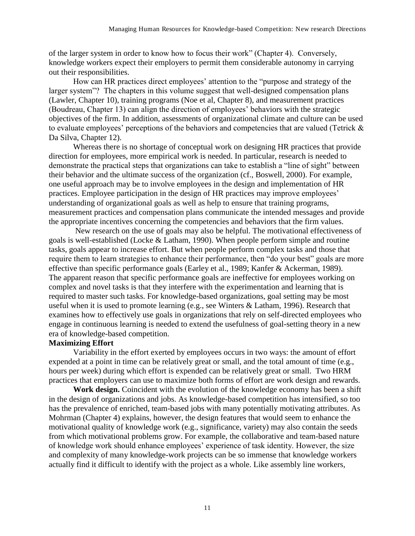of the larger system in order to know how to focus their work" (Chapter 4). Conversely, knowledge workers expect their employers to permit them considerable autonomy in carrying out their responsibilities.

How can HR practices direct employees' attention to the "purpose and strategy of the larger system"? The chapters in this volume suggest that well-designed compensation plans (Lawler, Chapter 10), training programs (Noe et al, Chapter 8), and measurement practices (Boudreau, Chapter 13) can align the direction of employees' behaviors with the strategic objectives of the firm. In addition, assessments of organizational climate and culture can be used to evaluate employees' perceptions of the behaviors and competencies that are valued (Tetrick & Da Silva, Chapter 12).

Whereas there is no shortage of conceptual work on designing HR practices that provide direction for employees, more empirical work is needed. In particular, research is needed to demonstrate the practical steps that organizations can take to establish a "line of sight" between their behavior and the ultimate success of the organization (cf., Boswell, 2000). For example, one useful approach may be to involve employees in the design and implementation of HR practices. Employee participation in the design of HR practices may improve employees' understanding of organizational goals as well as help to ensure that training programs, measurement practices and compensation plans communicate the intended messages and provide the appropriate incentives concerning the competencies and behaviors that the firm values.

New research on the use of goals may also be helpful. The motivational effectiveness of goals is well-established (Locke  $& Latham$ , 1990). When people perform simple and routine tasks, goals appear to increase effort. But when people perform complex tasks and those that require them to learn strategies to enhance their performance, then "do your best" goals are more effective than specific performance goals (Earley et al., 1989; Kanfer & Ackerman, 1989). The apparent reason that specific performance goals are ineffective for employees working on complex and novel tasks is that they interfere with the experimentation and learning that is required to master such tasks. For knowledge-based organizations, goal setting may be most useful when it is used to promote learning (e.g., see Winters & Latham, 1996). Research that examines how to effectively use goals in organizations that rely on self-directed employees who engage in continuous learning is needed to extend the usefulness of goal-setting theory in a new era of knowledge-based competition.

## **Maximizing Effort**

Variability in the effort exerted by employees occurs in two ways: the amount of effort expended at a point in time can be relatively great or small, and the total amount of time (e.g., hours per week) during which effort is expended can be relatively great or small. Two HRM practices that employers can use to maximize both forms of effort are work design and rewards.

**Work design.** Coincident with the evolution of the knowledge economy has been a shift in the design of organizations and jobs. As knowledge-based competition has intensified, so too has the prevalence of enriched, team-based jobs with many potentially motivating attributes. As Mohrman (Chapter 4) explains, however, the design features that would seem to enhance the motivational quality of knowledge work (e.g., significance, variety) may also contain the seeds from which motivational problems grow. For example, the collaborative and team-based nature of knowledge work should enhance employees' experience of task identity. However, the size and complexity of many knowledge-work projects can be so immense that knowledge workers actually find it difficult to identify with the project as a whole. Like assembly line workers,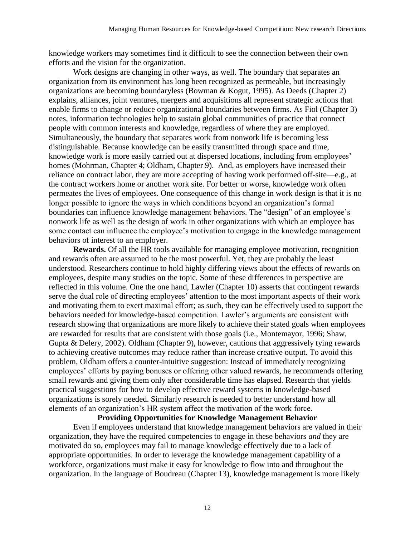knowledge workers may sometimes find it difficult to see the connection between their own efforts and the vision for the organization.

Work designs are changing in other ways, as well. The boundary that separates an organization from its environment has long been recognized as permeable, but increasingly organizations are becoming boundaryless (Bowman & Kogut, 1995). As Deeds (Chapter 2) explains, alliances, joint ventures, mergers and acquisitions all represent strategic actions that enable firms to change or reduce organizational boundaries between firms. As Fiol (Chapter 3) notes, information technologies help to sustain global communities of practice that connect people with common interests and knowledge, regardless of where they are employed. Simultaneously, the boundary that separates work from nonwork life is becoming less distinguishable. Because knowledge can be easily transmitted through space and time, knowledge work is more easily carried out at dispersed locations, including from employees' homes (Mohrman, Chapter 4; Oldham, Chapter 9). And, as employers have increased their reliance on contract labor, they are more accepting of having work performed off-site—e.g., at the contract workers home or another work site. For better or worse, knowledge work often permeates the lives of employees. One consequence of this change in work design is that it is no longer possible to ignore the ways in which conditions beyond an organization's formal boundaries can influence knowledge management behaviors. The "design" of an employee's nonwork life as well as the design of work in other organizations with which an employee has some contact can influence the employee's motivation to engage in the knowledge management behaviors of interest to an employer.

**Rewards.** Of all the HR tools available for managing employee motivation, recognition and rewards often are assumed to be the most powerful. Yet, they are probably the least understood. Researchers continue to hold highly differing views about the effects of rewards on employees, despite many studies on the topic. Some of these differences in perspective are reflected in this volume. One the one hand, Lawler (Chapter 10) asserts that contingent rewards serve the dual role of directing employees' attention to the most important aspects of their work and motivating them to exert maximal effort; as such, they can be effectively used to support the behaviors needed for knowledge-based competition. Lawler's arguments are consistent with research showing that organizations are more likely to achieve their stated goals when employees are rewarded for results that are consistent with those goals (i.e., Montemayor, 1996; Shaw, Gupta & Delery, 2002). Oldham (Chapter 9), however, cautions that aggressively tying rewards to achieving creative outcomes may reduce rather than increase creative output. To avoid this problem, Oldham offers a counter-intuitive suggestion: Instead of immediately recognizing employees' efforts by paying bonuses or offering other valued rewards, he recommends offering small rewards and giving them only after considerable time has elapsed. Research that yields practical suggestions for how to develop effective reward systems in knowledge-based organizations is sorely needed. Similarly research is needed to better understand how all elements of an organization's HR system affect the motivation of the work force.

**Providing Opportunities for Knowledge Management Behavior**

Even if employees understand that knowledge management behaviors are valued in their organization, they have the required competencies to engage in these behaviors *and* they are motivated do so, employees may fail to manage knowledge effectively due to a lack of appropriate opportunities. In order to leverage the knowledge management capability of a workforce, organizations must make it easy for knowledge to flow into and throughout the organization. In the language of Boudreau (Chapter 13), knowledge management is more likely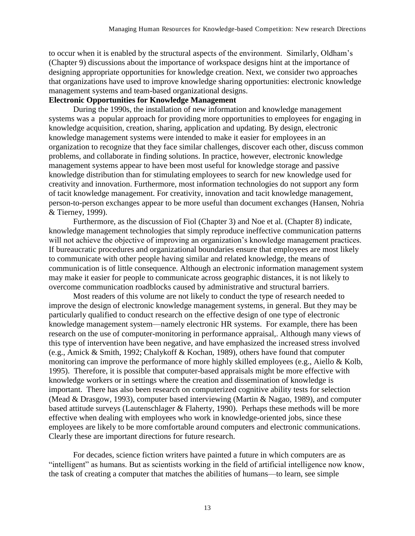to occur when it is enabled by the structural aspects of the environment. Similarly, Oldham's (Chapter 9) discussions about the importance of workspace designs hint at the importance of designing appropriate opportunities for knowledge creation. Next, we consider two approaches that organizations have used to improve knowledge sharing opportunities: electronic knowledge management systems and team-based organizational designs.

## **Electronic Opportunities for Knowledge Management**

During the 1990s, the installation of new information and knowledge management systems was a popular approach for providing more opportunities to employees for engaging in knowledge acquisition, creation, sharing, application and updating. By design, electronic knowledge management systems were intended to make it easier for employees in an organization to recognize that they face similar challenges, discover each other, discuss common problems, and collaborate in finding solutions. In practice, however, electronic knowledge management systems appear to have been most useful for knowledge storage and passive knowledge distribution than for stimulating employees to search for new knowledge used for creativity and innovation. Furthermore, most information technologies do not support any form of tacit knowledge management. For creativity, innovation and tacit knowledge management, person-to-person exchanges appear to be more useful than document exchanges (Hansen, Nohria & Tierney, 1999).

Furthermore, as the discussion of Fiol (Chapter 3) and Noe et al. (Chapter 8) indicate, knowledge management technologies that simply reproduce ineffective communication patterns will not achieve the objective of improving an organization's knowledge management practices. If bureaucratic procedures and organizational boundaries ensure that employees are most likely to communicate with other people having similar and related knowledge, the means of communication is of little consequence. Although an electronic information management system may make it easier for people to communicate across geographic distances, it is not likely to overcome communication roadblocks caused by administrative and structural barriers.

Most readers of this volume are not likely to conduct the type of research needed to improve the design of electronic knowledge management systems, in general. But they may be particularly qualified to conduct research on the effective design of one type of electronic knowledge management system—namely electronic HR systems. For example, there has been research on the use of computer-monitoring in performance appraisal,. Although many views of this type of intervention have been negative, and have emphasized the increased stress involved (e.g., Amick & Smith, 1992; Chalykoff & Kochan, 1989), others have found that computer monitoring can improve the performance of more highly skilled employees (e.g., Aiello & Kolb, 1995). Therefore, it is possible that computer-based appraisals might be more effective with knowledge workers or in settings where the creation and dissemination of knowledge is important. There has also been research on computerized cognitive ability tests for selection (Mead & Drasgow, 1993), computer based interviewing (Martin & Nagao, 1989), and computer based attitude surveys (Lautenschlager & Flaherty, 1990). Perhaps these methods will be more effective when dealing with employees who work in knowledge-oriented jobs, since these employees are likely to be more comfortable around computers and electronic communications. Clearly these are important directions for future research.

For decades, science fiction writers have painted a future in which computers are as "intelligent" as humans. But as scientists working in the field of artificial intelligence now know, the task of creating a computer that matches the abilities of humans—to learn, see simple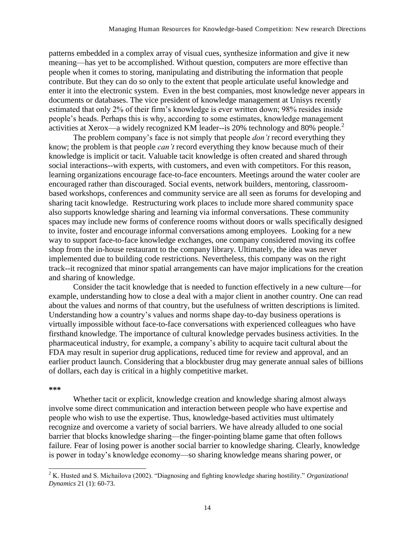patterns embedded in a complex array of visual cues, synthesize information and give it new meaning—has yet to be accomplished. Without question, computers are more effective than people when it comes to storing, manipulating and distributing the information that people contribute. But they can do so only to the extent that people articulate useful knowledge and enter it into the electronic system. Even in the best companies, most knowledge never appears in documents or databases. The vice president of knowledge management at Unisys recently estimated that only 2% of their firm's knowledge is ever written down; 98% resides inside people's heads. Perhaps this is why, according to some estimates, knowledge management activities at Xerox—a widely recognized KM leader--is 20% technology and 80% people.<sup>2</sup>

The problem company's face is not simply that people *don't* record everything they know; the problem is that people *can't* record everything they know because much of their knowledge is implicit or tacit. Valuable tacit knowledge is often created and shared through social interactions--with experts, with customers, and even with competitors. For this reason, learning organizations encourage face-to-face encounters. Meetings around the water cooler are encouraged rather than discouraged. Social events, network builders, mentoring, classroombased workshops, conferences and community service are all seen as forums for developing and sharing tacit knowledge. Restructuring work places to include more shared community space also supports knowledge sharing and learning via informal conversations. These community spaces may include new forms of conference rooms without doors or walls specifically designed to invite, foster and encourage informal conversations among employees. Looking for a new way to support face-to-face knowledge exchanges, one company considered moving its coffee shop from the in-house restaurant to the company library. Ultimately, the idea was never implemented due to building code restrictions. Nevertheless, this company was on the right track--it recognized that minor spatial arrangements can have major implications for the creation and sharing of knowledge.

 Consider the tacit knowledge that is needed to function effectively in a new culture—for example, understanding how to close a deal with a major client in another country. One can read about the values and norms of that country, but the usefulness of written descriptions is limited. Understanding how a country's values and norms shape day-to-day business operations is virtually impossible without face-to-face conversations with experienced colleagues who have firsthand knowledge. The importance of cultural knowledge pervades business activities. In the pharmaceutical industry, for example, a company's ability to acquire tacit cultural about the FDA may result in superior drug applications, reduced time for review and approval, and an earlier product launch. Considering that a blockbuster drug may generate annual sales of billions of dollars, each day is critical in a highly competitive market.

#### **\*\*\***

 $\overline{a}$ 

Whether tacit or explicit, knowledge creation and knowledge sharing almost always involve some direct communication and interaction between people who have expertise and people who wish to use the expertise. Thus, knowledge-based activities must ultimately recognize and overcome a variety of social barriers. We have already alluded to one social barrier that blocks knowledge sharing—the finger-pointing blame game that often follows failure. Fear of losing power is another social barrier to knowledge sharing. Clearly, knowledge is power in today's knowledge economy—so sharing knowledge means sharing power, or

<sup>2</sup> K. Husted and S. Michailova (2002). "Diagnosing and fighting knowledge sharing hostility." *Organizational Dynamics* 21 (1): 60-73.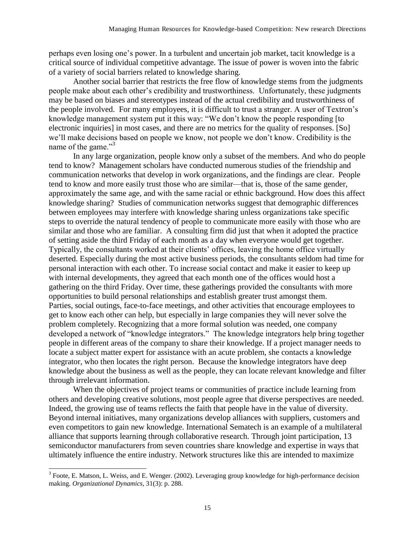perhaps even losing one's power. In a turbulent and uncertain job market, tacit knowledge is a critical source of individual competitive advantage. The issue of power is woven into the fabric of a variety of social barriers related to knowledge sharing.

Another social barrier that restricts the free flow of knowledge stems from the judgments people make about each other's credibility and trustworthiness. Unfortunately, these judgments may be based on biases and stereotypes instead of the actual credibility and trustworthiness of the people involved. For many employees, it is difficult to trust a stranger. A user of Textron's knowledge management system put it this way: "We don't know the people responding [to electronic inquiries] in most cases, and there are no metrics for the quality of responses. [So] we'll make decisions based on people we know, not people we don't know. Credibility is the name of the game."<sup>3</sup>

In any large organization, people know only a subset of the members. And who do people tend to know? Management scholars have conducted numerous studies of the friendship and communication networks that develop in work organizations, and the findings are clear. People tend to know and more easily trust those who are similar—that is, those of the same gender, approximately the same age, and with the same racial or ethnic background. How does this affect knowledge sharing? Studies of communication networks suggest that demographic differences between employees may interfere with knowledge sharing unless organizations take specific steps to override the natural tendency of people to communicate more easily with those who are similar and those who are familiar. A consulting firm did just that when it adopted the practice of setting aside the third Friday of each month as a day when everyone would get together. Typically, the consultants worked at their clients' offices, leaving the home office virtually deserted. Especially during the most active business periods, the consultants seldom had time for personal interaction with each other. To increase social contact and make it easier to keep up with internal developments, they agreed that each month one of the offices would host a gathering on the third Friday. Over time, these gatherings provided the consultants with more opportunities to build personal relationships and establish greater trust amongst them. Parties, social outings, face-to-face meetings, and other activities that encourage employees to get to know each other can help, but especially in large companies they will never solve the problem completely. Recognizing that a more formal solution was needed, one company developed a network of "knowledge integrators." The knowledge integrators help bring together people in different areas of the company to share their knowledge. If a project manager needs to locate a subject matter expert for assistance with an acute problem, she contacts a knowledge integrator, who then locates the right person. Because the knowledge integrators have deep knowledge about the business as well as the people, they can locate relevant knowledge and filter through irrelevant information.

When the objectives of project teams or communities of practice include learning from others and developing creative solutions, most people agree that diverse perspectives are needed. Indeed, the growing use of teams reflects the faith that people have in the value of diversity. Beyond internal initiatives, many organizations develop alliances with suppliers, customers and even competitors to gain new knowledge. International Sematech is an example of a multilateral alliance that supports learning through collaborative research. Through joint participation, 13 semiconductor manufacturers from seven countries share knowledge and expertise in ways that ultimately influence the entire industry. Network structures like this are intended to maximize

<sup>&</sup>lt;sup>3</sup> Foote, E. Matson, L. Weiss, and E. Wenger. (2002). Leveraging group knowledge for high-performance decision making. *Organizational Dynamics*, 31(3): p. 288.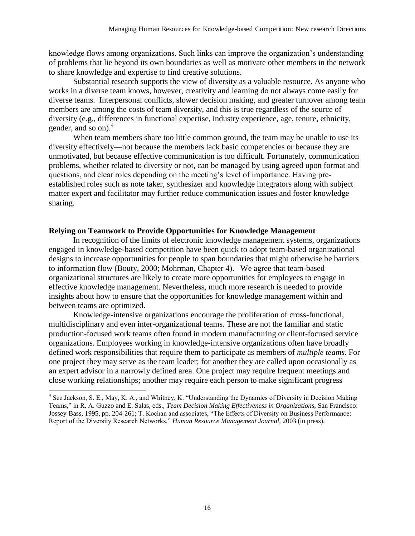knowledge flows among organizations. Such links can improve the organization's understanding of problems that lie beyond its own boundaries as well as motivate other members in the network to share knowledge and expertise to find creative solutions.

Substantial research supports the view of diversity as a valuable resource. As anyone who works in a diverse team knows, however, creativity and learning do not always come easily for diverse teams. Interpersonal conflicts, slower decision making, and greater turnover among team members are among the costs of team diversity, and this is true regardless of the source of diversity (e.g., differences in functional expertise, industry experience, age, tenure, ethnicity, gender, and so on).<sup>4</sup>

When team members share too little common ground, the team may be unable to use its diversity effectively—not because the members lack basic competencies or because they are unmotivated, but because effective communication is too difficult. Fortunately, communication problems, whether related to diversity or not, can be managed by using agreed upon format and questions, and clear roles depending on the meeting's level of importance. Having preestablished roles such as note taker, synthesizer and knowledge integrators along with subject matter expert and facilitator may further reduce communication issues and foster knowledge sharing.

## **Relying on Teamwork to Provide Opportunities for Knowledge Management**

In recognition of the limits of electronic knowledge management systems, organizations engaged in knowledge-based competition have been quick to adopt team-based organizational designs to increase opportunities for people to span boundaries that might otherwise be barriers to information flow (Bouty, 2000; Mohrman, Chapter 4). We agree that team-based organizational structures are likely to create more opportunities for employees to engage in effective knowledge management. Nevertheless, much more research is needed to provide insights about how to ensure that the opportunities for knowledge management within and between teams are optimized.

Knowledge-intensive organizations encourage the proliferation of cross-functional, multidisciplinary and even inter-organizational teams. These are not the familiar and static production-focused work teams often found in modern manufacturing or client-focused service organizations. Employees working in knowledge-intensive organizations often have broadly defined work responsibilities that require them to participate as members of *multiple teams*. For one project they may serve as the team leader; for another they are called upon occasionally as an expert advisor in a narrowly defined area. One project may require frequent meetings and close working relationships; another may require each person to make significant progress

 $\overline{a}$ 

<sup>&</sup>lt;sup>4</sup> See Jackson, S. E., May, K. A., and Whitney, K. "Understanding the Dynamics of Diversity in Decision Making Teams," in R. A. Guzzo and E. Salas, eds., *Team Decision Making Effectiveness in Organizations,* San Francisco: Jossey-Bass, 1995, pp. 204-261; T. Kochan and associates, "The Effects of Diversity on Business Performance: Report of the Diversity Research Networks," *Human Resource Management Journal,* 2003 (in press).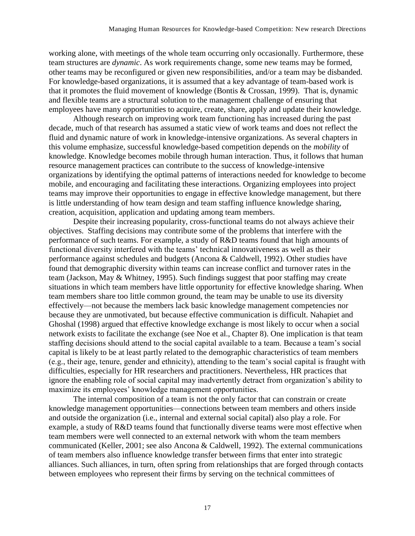working alone, with meetings of the whole team occurring only occasionally. Furthermore, these team structures are *dynamic*. As work requirements change, some new teams may be formed, other teams may be reconfigured or given new responsibilities, and/or a team may be disbanded. For knowledge-based organizations, it is assumed that a key advantage of team-based work is that it promotes the fluid movement of knowledge (Bontis & Crossan, 1999). That is, dynamic and flexible teams are a structural solution to the management challenge of ensuring that employees have many opportunities to acquire, create, share, apply and update their knowledge.

Although research on improving work team functioning has increased during the past decade, much of that research has assumed a static view of work teams and does not reflect the fluid and dynamic nature of work in knowledge-intensive organizations. As several chapters in this volume emphasize, successful knowledge-based competition depends on the *mobility* of knowledge. Knowledge becomes mobile through human interaction. Thus, it follows that human resource management practices can contribute to the success of knowledge-intensive organizations by identifying the optimal patterns of interactions needed for knowledge to become mobile, and encouraging and facilitating these interactions. Organizing employees into project teams may improve their opportunities to engage in effective knowledge management, but there is little understanding of how team design and team staffing influence knowledge sharing, creation, acquisition, application and updating among team members.

Despite their increasing popularity, cross-functional teams do not always achieve their objectives. Staffing decisions may contribute some of the problems that interfere with the performance of such teams. For example, a study of R&D teams found that high amounts of functional diversity interfered with the teams' technical innovativeness as well as their performance against schedules and budgets (Ancona & Caldwell, 1992). Other studies have found that demographic diversity within teams can increase conflict and turnover rates in the team (Jackson, May & Whitney, 1995). Such findings suggest that poor staffing may create situations in which team members have little opportunity for effective knowledge sharing. When team members share too little common ground, the team may be unable to use its diversity effectively—not because the members lack basic knowledge management competencies nor because they are unmotivated, but because effective communication is difficult. Nahapiet and Ghoshal (1998) argued that effective knowledge exchange is most likely to occur when a social network exists to facilitate the exchange (see Noe et al., Chapter 8). One implication is that team staffing decisions should attend to the social capital available to a team. Because a team's social capital is likely to be at least partly related to the demographic characteristics of team members (e.g., their age, tenure, gender and ethnicity), attending to the team's social capital is fraught with difficulties, especially for HR researchers and practitioners. Nevertheless, HR practices that ignore the enabling role of social capital may inadvertently detract from organization's ability to maximize its employees' knowledge management opportunities.

The internal composition of a team is not the only factor that can constrain or create knowledge management opportunities—connections between team members and others inside and outside the organization (i.e., internal and external social capital) also play a role. For example, a study of R&D teams found that functionally diverse teams were most effective when team members were well connected to an external network with whom the team members communicated (Keller, 2001; see also Ancona & Caldwell, 1992). The external communications of team members also influence knowledge transfer between firms that enter into strategic alliances. Such alliances, in turn, often spring from relationships that are forged through contacts between employees who represent their firms by serving on the technical committees of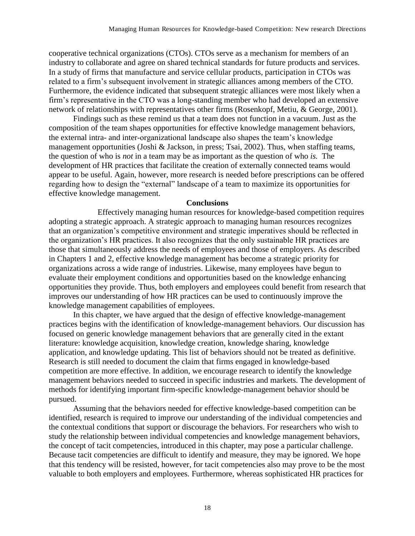cooperative technical organizations (CTOs). CTOs serve as a mechanism for members of an industry to collaborate and agree on shared technical standards for future products and services. In a study of firms that manufacture and service cellular products, participation in CTOs was related to a firm's subsequent involvement in strategic alliances among members of the CTO. Furthermore, the evidence indicated that subsequent strategic alliances were most likely when a firm's representative in the CTO was a long-standing member who had developed an extensive network of relationships with representatives other firms (Rosenkopf, Metiu, & George, 2001).

Findings such as these remind us that a team does not function in a vacuum. Just as the composition of the team shapes opportunities for effective knowledge management behaviors, the external intra- and inter-organizational landscape also shapes the team's knowledge management opportunities (Joshi & Jackson, in press; Tsai, 2002). Thus, when staffing teams, the question of who is *not* in a team may be as important as the question of who *is.* The development of HR practices that facilitate the creation of externally connected teams would appear to be useful. Again, however, more research is needed before prescriptions can be offered regarding how to design the "external" landscape of a team to maximize its opportunities for effective knowledge management.

#### **Conclusions**

Effectively managing human resources for knowledge-based competition requires adopting a strategic approach. A strategic approach to managing human resources recognizes that an organization's competitive environment and strategic imperatives should be reflected in the organization's HR practices. It also recognizes that the only sustainable HR practices are those that simultaneously address the needs of employees and those of employers. As described in Chapters 1 and 2, effective knowledge management has become a strategic priority for organizations across a wide range of industries. Likewise, many employees have begun to evaluate their employment conditions and opportunities based on the knowledge enhancing opportunities they provide. Thus, both employers and employees could benefit from research that improves our understanding of how HR practices can be used to continuously improve the knowledge management capabilities of employees.

In this chapter, we have argued that the design of effective knowledge-management practices begins with the identification of knowledge-management behaviors. Our discussion has focused on generic knowledge management behaviors that are generally cited in the extant literature: knowledge acquisition, knowledge creation, knowledge sharing, knowledge application, and knowledge updating. This list of behaviors should not be treated as definitive. Research is still needed to document the claim that firms engaged in knowledge-based competition are more effective. In addition, we encourage research to identify the knowledge management behaviors needed to succeed in specific industries and markets. The development of methods for identifying important firm-specific knowledge-management behavior should be pursued.

Assuming that the behaviors needed for effective knowledge-based competition can be identified, research is required to improve our understanding of the individual competencies and the contextual conditions that support or discourage the behaviors. For researchers who wish to study the relationship between individual competencies and knowledge management behaviors, the concept of tacit competencies, introduced in this chapter, may pose a particular challenge. Because tacit competencies are difficult to identify and measure, they may be ignored. We hope that this tendency will be resisted, however, for tacit competencies also may prove to be the most valuable to both employers and employees. Furthermore, whereas sophisticated HR practices for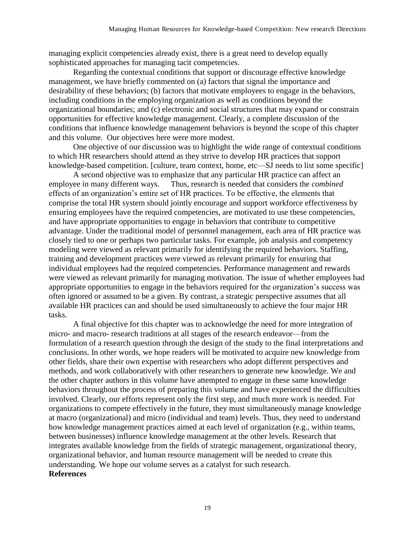managing explicit competencies already exist, there is a great need to develop equally sophisticated approaches for managing tacit competencies.

Regarding the contextual conditions that support or discourage effective knowledge management, we have briefly commented on (a) factors that signal the importance and desirability of these behaviors; (b) factors that motivate employees to engage in the behaviors, including conditions in the employing organization as well as conditions beyond the organizational boundaries; and (c) electronic and social structures that may expand or constrain opportunities for effective knowledge management. Clearly, a complete discussion of the conditions that influence knowledge management behaviors is beyond the scope of this chapter and this volume. Our objectives here were more modest.

One objective of our discussion was to highlight the wide range of contextual conditions to which HR researchers should attend as they strive to develop HR practices that support knowledge-based competition. [culture, team context, home, etc—SJ needs to list some specific]

A second objective was to emphasize that any particular HR practice can affect an employee in many different ways. Thus, research is needed that considers the *combined* effects of an organization's entire set of HR practices. To be effective, the elements that comprise the total HR system should jointly encourage and support workforce effectiveness by ensuring employees have the required competencies, are motivated to use these competencies, and have appropriate opportunities to engage in behaviors that contribute to competitive advantage. Under the traditional model of personnel management, each area of HR practice was closely tied to one or perhaps two particular tasks. For example, job analysis and competency modeling were viewed as relevant primarily for identifying the required behaviors. Staffing, training and development practices were viewed as relevant primarily for ensuring that individual employees had the required competencies. Performance management and rewards were viewed as relevant primarily for managing motivation. The issue of whether employees had appropriate opportunities to engage in the behaviors required for the organization's success was often ignored or assumed to be a given. By contrast, a strategic perspective assumes that all available HR practices can and should be used simultaneously to achieve the four major HR tasks.

A final objective for this chapter was to acknowledge the need for more integration of micro- and macro- research traditions at all stages of the research endeavor—from the formulation of a research question through the design of the study to the final interpretations and conclusions. In other words, we hope readers will be motivated to acquire new knowledge from other fields, share their own expertise with researchers who adopt different perspectives and methods, and work collaboratively with other researchers to generate new knowledge. We and the other chapter authors in this volume have attempted to engage in these same knowledge behaviors throughout the process of preparing this volume and have experienced the difficulties involved. Clearly, our efforts represent only the first step, and much more work is needed. For organizations to compete effectively in the future, they must simultaneously manage knowledge at macro (organizational) and micro (individual and team) levels. Thus, they need to understand how knowledge management practices aimed at each level of organization (e.g., within teams, between businesses) influence knowledge management at the other levels. Research that integrates available knowledge from the fields of strategic management, organizational theory, organizational behavior, and human resource management will be needed to create this understanding. We hope our volume serves as a catalyst for such research. **References**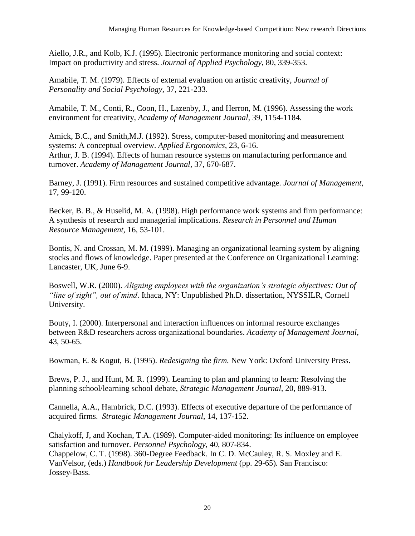Aiello, J.R., and Kolb, K.J. (1995). Electronic performance monitoring and social context: Impact on productivity and stress. *Journal of Applied Psychology*, 80, 339-353.

Amabile, T. M. (1979). Effects of external evaluation on artistic creativity, *Journal of Personality and Social Psychology,* 37, 221-233.

Amabile, T. M., Conti, R., Coon, H., Lazenby, J., and Herron, M. (1996). Assessing the work environment for creativity, *Academy of Management Journal,* 39, 1154-1184.

Amick, B.C., and Smith,M.J. (1992). Stress, computer-based monitoring and measurement systems: A conceptual overview. *Applied Ergonomics*, 23, 6-16. Arthur, J. B. (1994). Effects of human resource systems on manufacturing performance and turnover. *Academy of Management Journal,* 37, 670-687.

Barney, J. (1991). Firm resources and sustained competitive advantage. *Journal of Management,*  17, 99-120.

Becker, B. B., & Huselid, M. A. (1998). High performance work systems and firm performance: A synthesis of research and managerial implications. *Research in Personnel and Human Resource Management,* 16, 53-101.

Bontis, N. and Crossan, M. M. (1999). Managing an organizational learning system by aligning stocks and flows of knowledge. Paper presented at the Conference on Organizational Learning: Lancaster, UK, June 6-9.

Boswell, W.R. (2000). *Aligning employees with the organization's strategic objectives: Out of "line of sight", out of mind*. Ithaca, NY: Unpublished Ph.D. dissertation, NYSSILR, Cornell University.

Bouty, I. (2000). Interpersonal and interaction influences on informal resource exchanges between R&D researchers across organizational boundaries. *Academy of Management Journal*, 43, 50-65.

Bowman, E. & Kogut, B. (1995). *Redesigning the firm.* New York: Oxford University Press.

Brews, P. J., and Hunt, M. R. (1999). Learning to plan and planning to learn: Resolving the planning school/learning school debate, *Strategic Management Journal,* 20, 889-913.

Cannella, A.A., Hambrick, D.C. (1993). Effects of executive departure of the performance of acquired firms. *Strategic Management Journal*, 14, 137-152.

Chalykoff, J, and Kochan, T.A. (1989). Computer-aided monitoring: Its influence on employee satisfaction and turnover. *Personnel Psychology*, 40, 807-834. Chappelow, C. T. (1998). 360-Degree Feedback. In C. D. McCauley, R. S. Moxley and E. VanVelsor, (eds.) *Handbook for Leadership Development* (pp. 29-65)*.* San Francisco: Jossey-Bass.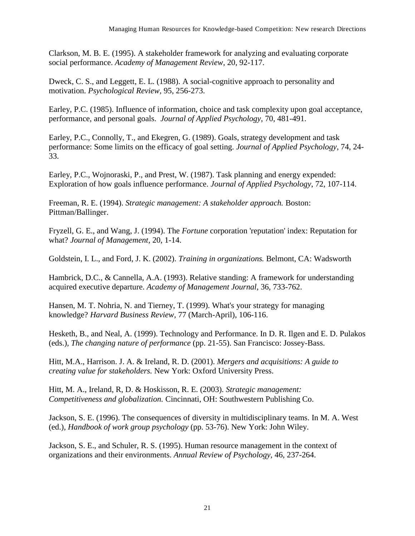Clarkson, M. B. E. (1995). A stakeholder framework for analyzing and evaluating corporate social performance. *Academy of Management Review,* 20, 92-117.

Dweck, C. S., and Leggett, E. L. (1988). A social-cognitive approach to personality and motivation. *Psychological Review,* 95, 256-273.

Earley, P.C. (1985). Influence of information, choice and task complexity upon goal acceptance, performance, and personal goals. *Journal of Applied Psychology*, 70, 481-491.

Earley, P.C., Connolly, T., and Ekegren, G. (1989). Goals, strategy development and task performance: Some limits on the efficacy of goal setting. *Journal of Applied Psychology*, 74, 24- 33.

Earley, P.C., Wojnoraski, P., and Prest, W. (1987). Task planning and energy expended: Exploration of how goals influence performance. *Journal of Applied Psychology*, 72, 107-114.

Freeman, R. E. (1994). *Strategic management: A stakeholder approach.* Boston: Pittman/Ballinger.

Fryzell, G. E., and Wang, J. (1994). The *Fortune* corporation 'reputation' index: Reputation for what? *Journal of Management,* 20, 1-14.

Goldstein, I. L., and Ford, J. K. (2002). *Training in organizations.* Belmont, CA: Wadsworth

Hambrick, D.C., & Cannella, A.A. (1993). Relative standing: A framework for understanding acquired executive departure. *Academy of Management Journal*, 36, 733-762.

Hansen, M. T. Nohria, N. and Tierney, T. (1999). What's your strategy for managing knowledge? *Harvard Business Review,* 77 (March-April), 106-116.

Hesketh, B., and Neal, A. (1999). Technology and Performance. In D. R. Ilgen and E. D. Pulakos (eds.), *The changing nature of performance* (pp. 21-55). San Francisco: Jossey-Bass.

Hitt, M.A., Harrison. J. A. & Ireland, R. D. (2001). *Mergers and acquisitions: A guide to creating value for stakeholders.* New York: Oxford University Press.

Hitt, M. A., Ireland, R, D. & Hoskisson, R. E. (2003). *Strategic management: Competitiveness and globalization.* Cincinnati, OH: Southwestern Publishing Co.

Jackson, S. E. (1996). The consequences of diversity in multidisciplinary teams. In M. A. West (ed.), *Handbook of work group psychology* (pp. 53-76). New York: John Wiley.

Jackson, S. E., and Schuler, R. S. (1995). Human resource management in the context of organizations and their environments. *Annual Review of Psychology,* 46, 237-264.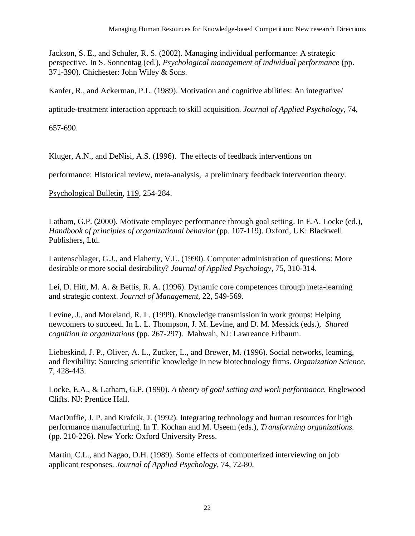Jackson, S. E., and Schuler, R. S. (2002). Managing individual performance: A strategic perspective. In S. Sonnentag (ed.), *Psychological management of individual performance* (pp. 371-390). Chichester: John Wiley & Sons.

Kanfer, R., and Ackerman, P.L. (1989). Motivation and cognitive abilities: An integrative/

aptitude-treatment interaction approach to skill acquisition. *Journal of Applied Psychology*, 74,

657-690.

Kluger, A.N., and DeNisi, A.S. (1996). The effects of feedback interventions on

performance: Historical review, meta-analysis, a preliminary feedback intervention theory.

Psychological Bulletin, 119, 254-284.

Latham, G.P. (2000). Motivate employee performance through goal setting. In E.A. Locke (ed.), *Handbook of principles of organizational behavior* (pp. 107-119). Oxford, UK: Blackwell Publishers, Ltd.

Lautenschlager, G.J., and Flaherty, V.L. (1990). Computer administration of questions: More desirable or more social desirability? *Journal of Applied Psychology*, 75, 310-314.

Lei, D. Hitt, M. A. & Bettis, R. A. (1996). Dynamic core competences through meta-learning and strategic context. *Journal of Management,* 22, 549-569.

Levine, J., and Moreland, R. L. (1999). Knowledge transmission in work groups: Helping newcomers to succeed. In L. L. Thompson, J. M. Levine, and D. M. Messick (eds.), *Shared cognition in organizations* (pp. 267-297). Mahwah, NJ: Lawreance Erlbaum.

Liebeskind, J. P., Oliver, A. L., Zucker, L., and Brewer, M. (1996). Social networks, leaming, and flexibility: Sourcing scientific knowledge in new biotechnology firms. *Organization Science,*  7, 428-443.

Locke, E.A., & Latham, G.P. (1990). *A theory of goal setting and work performance.* Englewood Cliffs. NJ: Prentice Hall.

MacDuffie, J. P. and Krafcik, J. (1992). Integrating technology and human resources for high performance manufacturing. In T. Kochan and M. Useem (eds.), *Transforming organizations.*  (pp. 210-226). New York: Oxford University Press.

Martin, C.L., and Nagao, D.H. (1989). Some effects of computerized interviewing on job applicant responses. *Journal of Applied Psychology*, 74, 72-80.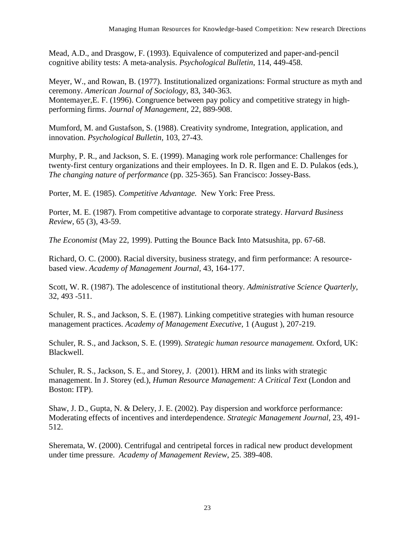Mead, A.D., and Drasgow, F. (1993). Equivalence of computerized and paper-and-pencil cognitive ability tests: A meta-analysis. *Psychological Bulletin*, 114, 449-458.

Meyer, W., and Rowan, B. (1977). Institutionalized organizations: Formal structure as myth and ceremony. *American Journal of Sociology,* 83, 340-363. Montemayer,E. F. (1996). Congruence between pay policy and competitive strategy in highperforming firms. *Journal of Management,* 22, 889-908.

Mumford, M. and Gustafson, S. (1988). Creativity syndrome, Integration, application, and innovation. *Psychological Bulletin,* 103, 27-43.

Murphy, P. R., and Jackson, S. E. (1999). Managing work role performance: Challenges for twenty-first century organizations and their employees. In D. R. Ilgen and E. D. Pulakos (eds.), *The changing nature of performance* (pp. 325-365)*.* San Francisco: Jossey-Bass.

Porter, M. E. (1985). *Competitive Advantage.* New York: Free Press.

Porter, M. E. (1987). From competitive advantage to corporate strategy. *Harvard Business Review,* 65 (3), 43-59.

*The Economist* (May 22, 1999). Putting the Bounce Back Into Matsushita, pp. 67-68.

Richard, O. C. (2000). Racial diversity, business strategy, and firm performance: A resourcebased view. *Academy of Management Journal*, 43, 164-177.

Scott, W. R. (1987). The adolescence of institutional theory. *Administrative Science Quarterly,*  32, 493 -511.

Schuler, R. S., and Jackson, S. E. (1987). Linking competitive strategies with human resource management practices. *Academy of Management Executive,* 1 (August ), 207-219.

Schuler, R. S., and Jackson, S. E. (1999). *Strategic human resource management.* Oxford, UK: Blackwell.

Schuler, R. S., Jackson, S. E., and Storey, J. (2001). HRM and its links with strategic management. In J. Storey (ed.), *Human Resource Management: A Critical Text* (London and Boston: ITP).

Shaw, J. D., Gupta, N. & Delery, J. E. (2002). Pay dispersion and workforce performance: Moderating effects of incentives and interdependence. *Strategic Management Journal,* 23, 491- 512.

Sheremata, W. (2000). Centrifugal and centripetal forces in radical new product development under time pressure. *Academy of Management Review*, 25. 389-408.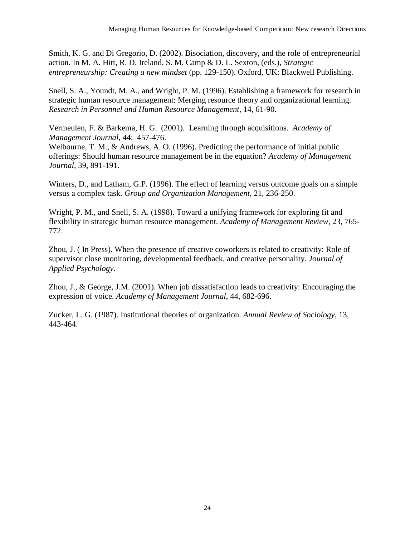Smith, K. G. and Di Gregorio, D. (2002). Bisociation, discovery, and the role of entrepreneurial action. In M. A. Hitt, R. D. Ireland, S. M. Camp & D. L. Sexton, (eds.), *Strategic entrepreneurship: Creating a new mindset* (pp. 129-150). Oxford, UK: Blackwell Publishing.

Snell, S. A., Youndt, M. A., and Wright, P. M. (1996). Establishing a framework for research in strategic human resource management: Merging resource theory and organizational learning. *Research in Personnel and Human Resource Management,* 14, 61-90.

Vermeulen, F. & Barkema, H. G. (2001). Learning through acquisitions. *Academy of Management Journal*, 44: 457-476.

Welbourne, T. M., & Andrews, A. O. (1996). Predicting the performance of initial public offerings: Should human resource management be in the equation? *Academy of Management Journal*, 39, 891-191.

Winters, D., and Latham, G.P. (1996). The effect of learning versus outcome goals on a simple versus a complex task. *Group and Organization Management*, 21, 236-250.

Wright, P. M., and Snell, S. A. (1998). Toward a unifying framework for exploring fit and flexibility in strategic human resource management. *Academy of Management Review,* 23, 765- 772.

Zhou, J. ( In Press). When the presence of creative coworkers is related to creativity: Role of supervisor close monitoring, developmental feedback, and creative personality. *Journal of Applied Psychology*.

Zhou, J., & George, J.M. (2001). When job dissatisfaction leads to creativity: Encouraging the expression of voice. *Academy of Management Journal*, 44, 682-696.

Zucker, L. G. (1987). Institutional theories of organization. *Annual Review of Sociology,* 13, 443-464.